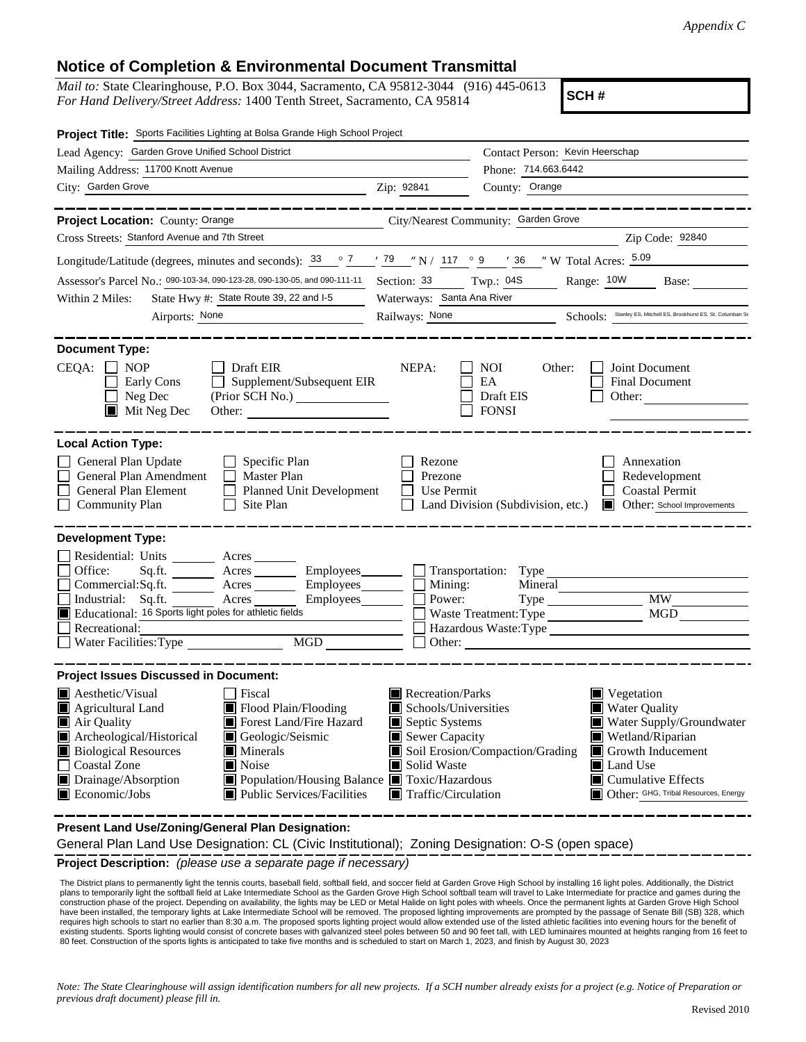## **Notice of Completion & Environmental Document Transmittal**

*Mail to:* State Clearinghouse, P.O. Box 3044, Sacramento, CA 95812-3044 (916) 445-0613 *For Hand Delivery/Street Address:* 1400 Tenth Street, Sacramento, CA 95814

**SCH #**

| Project Title: Sports Facilities Lighting at Bolsa Grande High School Project                                                                                                              |                                                          |                                                      |                                                      |                                                                                 |  |
|--------------------------------------------------------------------------------------------------------------------------------------------------------------------------------------------|----------------------------------------------------------|------------------------------------------------------|------------------------------------------------------|---------------------------------------------------------------------------------|--|
| Lead Agency: Garden Grove Unified School District                                                                                                                                          |                                                          |                                                      | Contact Person: Kevin Heerschap                      |                                                                                 |  |
| Mailing Address: 11700 Knott Avenue                                                                                                                                                        |                                                          | Phone: 714.663.6442                                  |                                                      |                                                                                 |  |
| City: Garden Grove<br><u> 1980 - Johann Barbara, martin amerikan basar da</u>                                                                                                              | Zip: 92841                                               | County: Orange                                       |                                                      |                                                                                 |  |
|                                                                                                                                                                                            | ------------                                             |                                                      |                                                      | _________________                                                               |  |
| Project Location: County: Orange City/Nearest Community: Garden Grove                                                                                                                      |                                                          |                                                      |                                                      |                                                                                 |  |
| Cross Streets: Stanford Avenue and 7th Street                                                                                                                                              |                                                          |                                                      |                                                      | Zip Code: 92840                                                                 |  |
| Longitude/Latitude (degrees, minutes and seconds): $\frac{33}{9}$ $\frac{7}{1}$ $\frac{79}{7}$ $\frac{79}{7}$ N / 117 $\degree$ 9 $\degree$ 7 36 $\degree$ W Total Acres: $\frac{5.09}{7}$ |                                                          |                                                      |                                                      |                                                                                 |  |
| Assessor's Parcel No.: 090-103-34, 090-123-28, 090-130-05, and 090-111-11                                                                                                                  |                                                          | Section: 33 Twp.: 04S                                |                                                      | Range: 10W<br>Base:                                                             |  |
| State Hwy #: State Route 39, 22 and I-5<br>Within 2 Miles:                                                                                                                                 |                                                          | Waterways: Santa Ana River                           |                                                      |                                                                                 |  |
| Airports: None                                                                                                                                                                             |                                                          |                                                      |                                                      | Railways: None Schools: Stanley ES, Mitchell ES, Brookhurst ES, St. Columban St |  |
|                                                                                                                                                                                            |                                                          |                                                      |                                                      |                                                                                 |  |
| <b>Document Type:</b>                                                                                                                                                                      |                                                          |                                                      |                                                      |                                                                                 |  |
| $CEQA: \Box NP$                                                                                                                                                                            | Draft EIR                                                | NEPA:                                                | <b>NOI</b><br>Other:                                 | Joint Document                                                                  |  |
| Early Cons                                                                                                                                                                                 | Supplement/Subsequent EIR                                |                                                      | EA                                                   | Final Document                                                                  |  |
| $\Box$ Neg Dec                                                                                                                                                                             |                                                          |                                                      | Draft EIS                                            | Other:                                                                          |  |
| $\blacksquare$ Mit Neg Dec                                                                                                                                                                 |                                                          |                                                      | <b>FONSI</b>                                         |                                                                                 |  |
|                                                                                                                                                                                            |                                                          |                                                      |                                                      |                                                                                 |  |
| <b>Local Action Type:</b>                                                                                                                                                                  |                                                          |                                                      |                                                      |                                                                                 |  |
| General Plan Update                                                                                                                                                                        | $\Box$ Specific Plan                                     | Rezone                                               |                                                      | Annexation                                                                      |  |
| $\Box$<br>General Plan Amendment                                                                                                                                                           | Master Plan                                              | Prezone                                              |                                                      | Redevelopment                                                                   |  |
| General Plan Element<br>$\mathsf{L}$                                                                                                                                                       | Planned Unit Development                                 | $\Box$ Use Permit                                    |                                                      | <b>Coastal Permit</b>                                                           |  |
| Community Plan<br>$\mathsf{L}$                                                                                                                                                             | Site Plan                                                |                                                      | Land Division (Subdivision, etc.)                    | <b>Other:</b> School Improvements                                               |  |
|                                                                                                                                                                                            |                                                          |                                                      |                                                      |                                                                                 |  |
| <b>Development Type:</b>                                                                                                                                                                   |                                                          |                                                      |                                                      |                                                                                 |  |
| Residential: Units _______                                                                                                                                                                 | Acres                                                    |                                                      |                                                      |                                                                                 |  |
| Office:<br>Sq.ft.                                                                                                                                                                          | Acres                                                    |                                                      |                                                      | Employees Transportation: Type                                                  |  |
| Commercial:Sq.ft.                                                                                                                                                                          | $Employes \_\_$<br>Acres                                 | Mining:                                              | Mineral                                              |                                                                                 |  |
| $\Box$ Industrial: Sq.ft.                                                                                                                                                                  | Acres                                                    | Power:                                               | Type                                                 | MW .                                                                            |  |
| Educational: 16 Sports light poles for athletic fields                                                                                                                                     |                                                          |                                                      | Waste Treatment: Type                                | MGD                                                                             |  |
| Recreational:                                                                                                                                                                              | MGD                                                      |                                                      |                                                      | Hazardous Waste:Type                                                            |  |
|                                                                                                                                                                                            |                                                          | Other:                                               |                                                      |                                                                                 |  |
| <b>Project Issues Discussed in Document:</b>                                                                                                                                               |                                                          |                                                      |                                                      |                                                                                 |  |
| <b>A</b> esthetic/Visual                                                                                                                                                                   | <b>Fiscal</b>                                            | $\blacksquare$ Recreation/Parks                      |                                                      | ■ Vegetation                                                                    |  |
| Agricultural Land                                                                                                                                                                          | Flood Plain/Flooding                                     | Schools/Universities<br>L                            |                                                      | $\Box$<br><b>Water Quality</b>                                                  |  |
| Air Quality                                                                                                                                                                                | Forest Land/Fire Hazard                                  | Septic Systems                                       |                                                      | Water Supply/Groundwater                                                        |  |
| Archeological/Historical                                                                                                                                                                   | Geologic/Seismic                                         | Sewer Capacity<br>Wetland/Riparian                   |                                                      |                                                                                 |  |
| <b>Biological Resources</b>                                                                                                                                                                | <b>Minerals</b>                                          | Soil Erosion/Compaction/Grading<br>Growth Inducement |                                                      |                                                                                 |  |
| Coastal Zone                                                                                                                                                                               | Noise                                                    | Solid Waste                                          |                                                      | Land Use                                                                        |  |
| Drainage/Absorption                                                                                                                                                                        | $\blacksquare$ Population/Housing Balance $\blacksquare$ |                                                      | Toxic/Hazardous<br>$\blacksquare$ Cumulative Effects |                                                                                 |  |
| Economic/Jobs                                                                                                                                                                              | ■ Public Services/Facilities                             | Traffic/Circulation                                  |                                                      | Other: GHG, Tribal Resources, Energy                                            |  |
|                                                                                                                                                                                            |                                                          |                                                      |                                                      |                                                                                 |  |
| Present Land Use/Zoning/General Plan Designation:                                                                                                                                          |                                                          |                                                      |                                                      |                                                                                 |  |

General Plan Land Use Designation: CL (Civic Institutional); Zoning Designation: O-S (open space)

**Project Description:** *(please use a separate page if necessary)*

 The District plans to permanently light the tennis courts, baseball field, softball field, and soccer field at Garden Grove High School by installing 16 light poles. Additionally, the District plans to temporarily light the softball field at Lake Intermediate School as the Garden Grove High School softball team will travel to Lake Intermediate for practice and games during the construction phase of the project. Depending on availability, the lights may be LED or Metal Halide on light poles with wheels. Once the permanent lights at Garden Grove High School have been installed, the temporary lights at Lake Intermediate School will be removed. The proposed lighting improvements are prompted by the passage of Senate Bill (SB) 328, which requires high schools to start no earlier than 8:30 a.m. The proposed sports lighting project would allow extended use of the listed athletic facilities into evening hours for the benefit of<br>existing students. Sports light 80 feet. Construction of the sports lights is anticipated to take five months and is scheduled to start on March 1, 2023, and finish by August 30, 2023

*Note: The State Clearinghouse will assign identification numbers for all new projects. If a SCH number already exists for a project (e.g. Notice of Preparation or previous draft document) please fill in.*